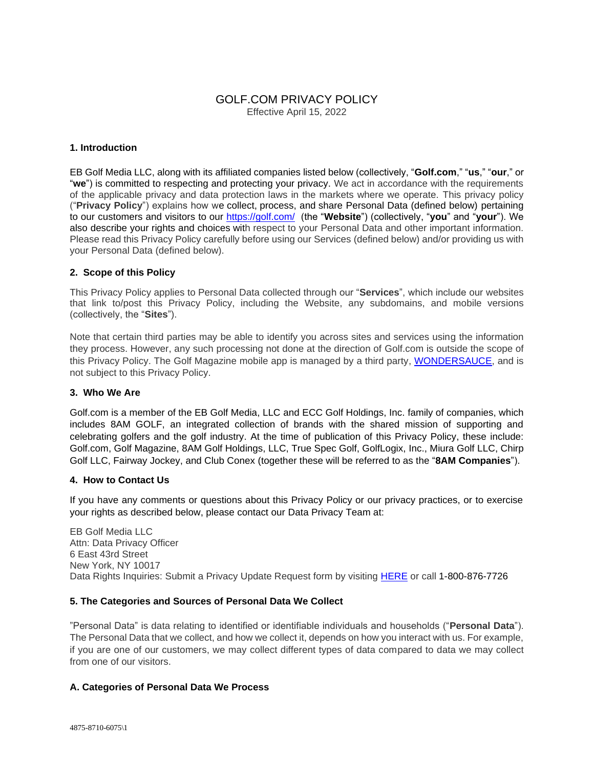# GOLF.COM PRIVACY POLICY Effective April 15, 2022

## **1. Introduction**

EB Golf Media LLC, along with its affiliated companies listed below (collectively, "**Golf.com**," "**us**," "**our**," or "**we**") is committed to respecting and protecting your privacy. We act in accordance with the requirements of the applicable privacy and data protection laws in the markets where we operate. This privacy policy ("**Privacy Policy**") explains how we collect, process, and share Personal Data (defined below) pertaining to our customers and visitors to our<https://golf.com/>(the "**Website**") (collectively, "**you**" and "**your**"). We also describe your rights and choices with respect to your Personal Data and other important information. Please read this Privacy Policy carefully before using our Services (defined below) and/or providing us with your Personal Data (defined below).

### **2. Scope of this Policy**

This Privacy Policy applies to Personal Data collected through our "**Services**", which include our websites that link to/post this Privacy Policy, including the Website, any subdomains, and mobile versions (collectively, the "**Sites**").

Note that certain third parties may be able to identify you across sites and services using the information they process. However, any such processing not done at the direction of Golf.com is outside the scope of this Privacy Policy. The Golf Magazine mobile app is managed by a third party, [WONDERSAUCE,](https://www.wondersauce.com/) and is not subject to this Privacy Policy.

## **3. Who We Are**

Golf.com is a member of the EB Golf Media, LLC and ECC Golf Holdings, Inc. family of companies, which includes 8AM GOLF, an integrated collection of brands with the shared mission of supporting and celebrating golfers and the golf industry. At the time of publication of this Privacy Policy, these include: Golf.com, Golf Magazine, 8AM Golf Holdings, LLC, True Spec Golf, GolfLogix, Inc., Miura Golf LLC, Chirp Golf LLC, Fairway Jockey, and Club Conex (together these will be referred to as the "**8AM Companies**").

#### **4. How to Contact Us**

If you have any comments or questions about this Privacy Policy or our privacy practices, or to exercise your rights as described below, please contact our Data Privacy Team at:

EB Golf Media LLC Attn: Data Privacy Officer 6 East 43rd Street New York, NY 10017 Data Rights Inquiries: Submit a Privacy Update Request form by visiting [HERE](https://8amgolf-privacy.my.onetrust.com/webform/9f79a1ae-e6e1-4784-b52b-37e1a3fdee64/adc2d0c2-ce23-43aa-9630-0d0edfab4c89) or call 1-800-876-7726

#### **5. The Categories and Sources of Personal Data We Collect**

"Personal Data" is data relating to identified or identifiable individuals and households ("**Personal Data**"). The Personal Data that we collect, and how we collect it, depends on how you interact with us. For example, if you are one of our customers, we may collect different types of data compared to data we may collect from one of our visitors.

## **A. Categories of Personal Data We Process**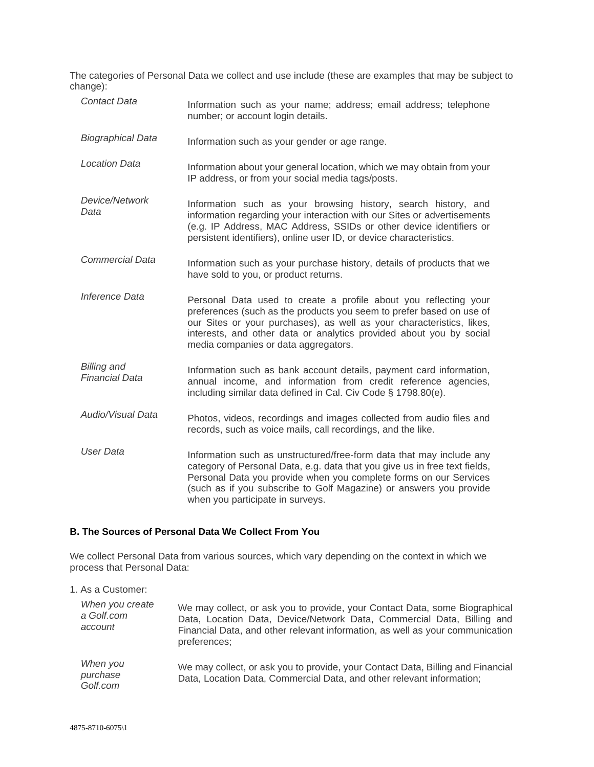The categories of Personal Data we collect and use include (these are examples that may be subject to change):

| <b>Contact Data</b>                         | Information such as your name; address; email address; telephone<br>number; or account login details.                                                                                                                                                                                                                             |
|---------------------------------------------|-----------------------------------------------------------------------------------------------------------------------------------------------------------------------------------------------------------------------------------------------------------------------------------------------------------------------------------|
| <b>Biographical Data</b>                    | Information such as your gender or age range.                                                                                                                                                                                                                                                                                     |
| <b>Location Data</b>                        | Information about your general location, which we may obtain from your<br>IP address, or from your social media tags/posts.                                                                                                                                                                                                       |
| Device/Network<br>Data                      | Information such as your browsing history, search history, and<br>information regarding your interaction with our Sites or advertisements<br>(e.g. IP Address, MAC Address, SSIDs or other device identifiers or<br>persistent identifiers), online user ID, or device characteristics.                                           |
| <b>Commercial Data</b>                      | Information such as your purchase history, details of products that we<br>have sold to you, or product returns.                                                                                                                                                                                                                   |
| Inference Data                              | Personal Data used to create a profile about you reflecting your<br>preferences (such as the products you seem to prefer based on use of<br>our Sites or your purchases), as well as your characteristics, likes,<br>interests, and other data or analytics provided about you by social<br>media companies or data aggregators.  |
| <b>Billing and</b><br><b>Financial Data</b> | Information such as bank account details, payment card information,<br>annual income, and information from credit reference agencies,<br>including similar data defined in Cal. Civ Code § 1798.80(e).                                                                                                                            |
| Audio/Visual Data                           | Photos, videos, recordings and images collected from audio files and<br>records, such as voice mails, call recordings, and the like.                                                                                                                                                                                              |
| <b>User Data</b>                            | Information such as unstructured/free-form data that may include any<br>category of Personal Data, e.g. data that you give us in free text fields,<br>Personal Data you provide when you complete forms on our Services<br>(such as if you subscribe to Golf Magazine) or answers you provide<br>when you participate in surveys. |

# **B. The Sources of Personal Data We Collect From You**

We collect Personal Data from various sources, which vary depending on the context in which we process that Personal Data:

| 1. As a Customer:                        |                                                                                                                                                                                                                                                        |
|------------------------------------------|--------------------------------------------------------------------------------------------------------------------------------------------------------------------------------------------------------------------------------------------------------|
| When you create<br>a Golf.com<br>account | We may collect, or ask you to provide, your Contact Data, some Biographical<br>Data, Location Data, Device/Network Data, Commercial Data, Billing and<br>Financial Data, and other relevant information, as well as your communication<br>preferences; |
| When you<br>purchase<br>Golf.com         | We may collect, or ask you to provide, your Contact Data, Billing and Financial<br>Data, Location Data, Commercial Data, and other relevant information;                                                                                               |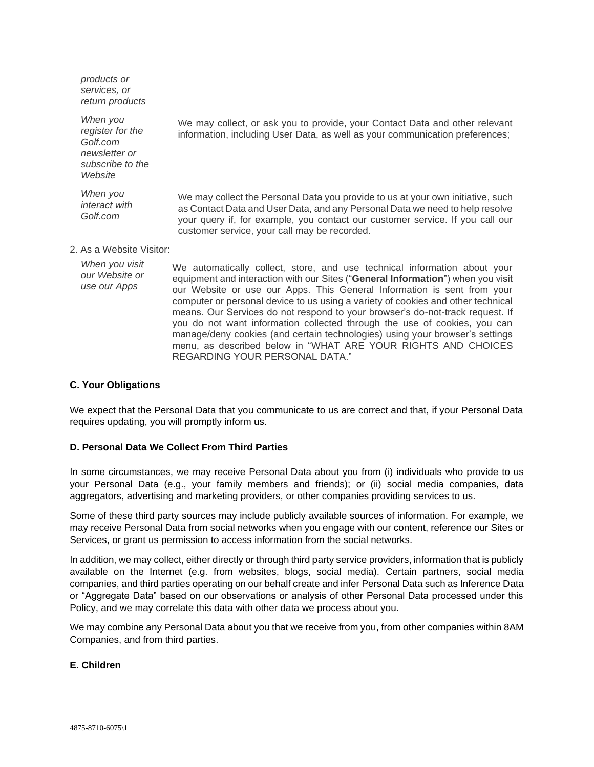*products or services, or return products*

*When you register for the Golf.com newsletter or subscribe to the Website*

*When you interact with Golf.com*

We may collect, or ask you to provide, your Contact Data and other relevant information, including User Data, as well as your communication preferences;

We may collect the Personal Data you provide to us at your own initiative, such as Contact Data and User Data, and any Personal Data we need to help resolve your query if, for example, you contact our customer service. If you call our customer service, your call may be recorded.

# 2. As a Website Visitor:

*When you visit our Website or use our Apps* We automatically collect, store, and use technical information about your equipment and interaction with our Sites ("**General Information**") when you visit our Website or use our Apps. This General Information is sent from your computer or personal device to us using a variety of cookies and other technical means. Our Services do not respond to your browser's do-not-track request. If you do not want information collected through the use of cookies, you can manage/deny cookies (and certain technologies) using your browser's settings menu, as described below in "WHAT ARE YOUR RIGHTS AND CHOICES REGARDING YOUR PERSONAL DATA."

#### **C. Your Obligations**

We expect that the Personal Data that you communicate to us are correct and that, if your Personal Data requires updating, you will promptly inform us.

### **D. Personal Data We Collect From Third Parties**

In some circumstances, we may receive Personal Data about you from (i) individuals who provide to us your Personal Data (e.g., your family members and friends); or (ii) social media companies, data aggregators, advertising and marketing providers, or other companies providing services to us.

Some of these third party sources may include publicly available sources of information. For example, we may receive Personal Data from social networks when you engage with our content, reference our Sites or Services, or grant us permission to access information from the social networks.

In addition, we may collect, either directly or through third party service providers, information that is publicly available on the Internet (e.g. from websites, blogs, social media). Certain partners, social media companies, and third parties operating on our behalf create and infer Personal Data such as Inference Data or "Aggregate Data" based on our observations or analysis of other Personal Data processed under this Policy, and we may correlate this data with other data we process about you.

We may combine any Personal Data about you that we receive from you, from other companies within 8AM Companies, and from third parties.

#### **E. Children**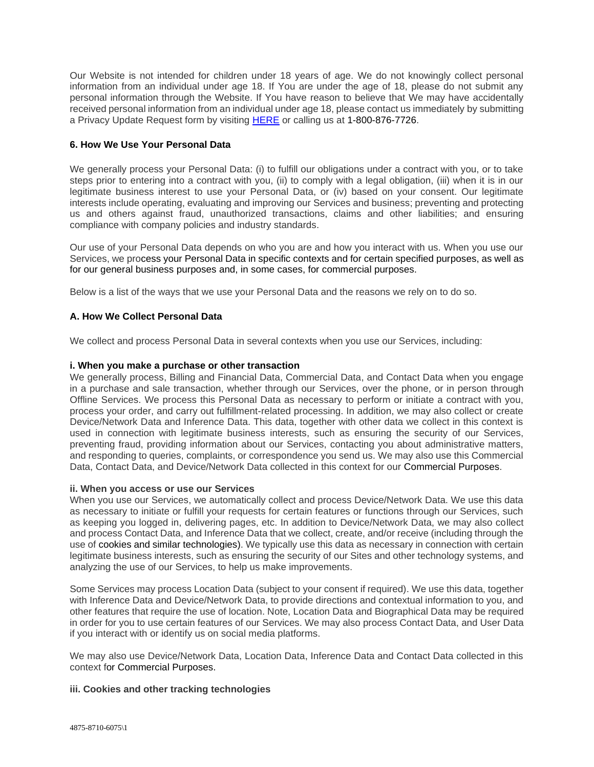Our Website is not intended for children under 18 years of age. We do not knowingly collect personal information from an individual under age 18. If You are under the age of 18, please do not submit any personal information through the Website. If You have reason to believe that We may have accidentally received personal information from an individual under age 18, please contact us immediately by submitting a Privacy Update Request form by visiting [HERE](https://8amgolf-privacy.my.onetrust.com/webform/9f79a1ae-e6e1-4784-b52b-37e1a3fdee64/adc2d0c2-ce23-43aa-9630-0d0edfab4c89) or calling us at 1-800-876-7726.

# **6. How We Use Your Personal Data**

We generally process your Personal Data: (i) to fulfill our obligations under a contract with you, or to take steps prior to entering into a contract with you, (ii) to comply with a legal obligation, (iii) when it is in our legitimate business interest to use your Personal Data, or (iv) based on your consent. Our legitimate interests include operating, evaluating and improving our Services and business; preventing and protecting us and others against fraud, unauthorized transactions, claims and other liabilities; and ensuring compliance with company policies and industry standards.

Our use of your Personal Data depends on who you are and how you interact with us. When you use our Services, we process your Personal Data in specific contexts and for certain specified purposes, as well as for our general business purposes and, in some cases, for commercial purposes.

Below is a list of the ways that we use your Personal Data and the reasons we rely on to do so.

# **A. How We Collect Personal Data**

We collect and process Personal Data in several contexts when you use our Services, including:

## **i. When you make a purchase or other transaction**

We generally process, Billing and Financial Data, Commercial Data, and Contact Data when you engage in a purchase and sale transaction, whether through our Services, over the phone, or in person through Offline Services. We process this Personal Data as necessary to perform or initiate a contract with you, process your order, and carry out fulfillment-related processing. In addition, we may also collect or create Device/Network Data and Inference Data. This data, together with other data we collect in this context is used in connection with legitimate business interests, such as ensuring the security of our Services, preventing fraud, providing information about our Services, contacting you about administrative matters, and responding to queries, complaints, or correspondence you send us. We may also use this Commercial Data, Contact Data, and Device/Network Data collected in this context for our Commercial Purposes.

#### **ii. When you access or use our Services**

When you use our Services, we automatically collect and process Device/Network Data. We use this data as necessary to initiate or fulfill your requests for certain features or functions through our Services, such as keeping you logged in, delivering pages, etc. In addition to Device/Network Data, we may also collect and process Contact Data, and Inference Data that we collect, create, and/or receive (including through the use of cookies and similar technologies). We typically use this data as necessary in connection with certain legitimate business interests, such as ensuring the security of our Sites and other technology systems, and analyzing the use of our Services, to help us make improvements.

Some Services may process Location Data (subject to your consent if required). We use this data, together with Inference Data and Device/Network Data, to provide directions and contextual information to you, and other features that require the use of location. Note, Location Data and Biographical Data may be required in order for you to use certain features of our Services. We may also process Contact Data, and User Data if you interact with or identify us on social media platforms.

We may also use Device/Network Data, Location Data, Inference Data and Contact Data collected in this context for Commercial Purposes.

## **iii. Cookies and other tracking technologies**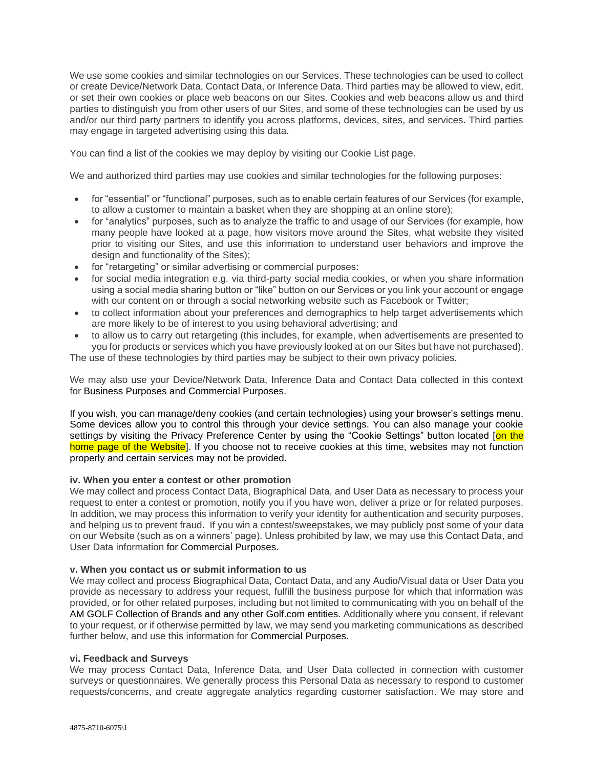We use some cookies and similar technologies on our Services. These technologies can be used to collect or create Device/Network Data, Contact Data, or Inference Data. Third parties may be allowed to view, edit, or set their own cookies or place web beacons on our Sites. Cookies and web beacons allow us and third parties to distinguish you from other users of our Sites, and some of these technologies can be used by us and/or our third party partners to identify you across platforms, devices, sites, and services. Third parties may engage in targeted advertising using this data.

You can find a list of the cookies we may deploy by visiting our Cookie List page.

We and authorized third parties may use cookies and similar technologies for the following purposes:

- for "essential" or "functional" purposes, such as to enable certain features of our Services (for example, to allow a customer to maintain a basket when they are shopping at an online store);
- for "analytics" purposes, such as to analyze the traffic to and usage of our Services (for example, how many people have looked at a page, how visitors move around the Sites, what website they visited prior to visiting our Sites, and use this information to understand user behaviors and improve the design and functionality of the Sites);
- for "retargeting" or similar advertising or commercial purposes:
- for social media integration e.g. via third-party social media cookies, or when you share information using a social media sharing button or "like" button on our Services or you link your account or engage with our content on or through a social networking website such as Facebook or Twitter;
- to collect information about your preferences and demographics to help target advertisements which are more likely to be of interest to you using behavioral advertising; and
- to allow us to carry out retargeting (this includes, for example, when advertisements are presented to you for products or services which you have previously looked at on our Sites but have not purchased). The use of these technologies by third parties may be subject to their own privacy policies.

We may also use your Device/Network Data, Inference Data and Contact Data collected in this context for Business Purposes and Commercial Purposes.

If you wish, you can manage/deny cookies (and certain technologies) using your browser's settings menu. Some devices allow you to control this through your device settings. You can also manage your cookie settings by visiting the Privacy Preference Center by using the "Cookie Settings" button located [on the home page of the Website]. If you choose not to receive cookies at this time, websites may not function properly and certain services may not be provided.

## **iv. When you enter a contest or other promotion**

We may collect and process Contact Data, Biographical Data, and User Data as necessary to process your request to enter a contest or promotion, notify you if you have won, deliver a prize or for related purposes. In addition, we may process this information to verify your identity for authentication and security purposes, and helping us to prevent fraud. If you win a contest/sweepstakes, we may publicly post some of your data on our Website (such as on a winners' page). Unless prohibited by law, we may use this Contact Data, and User Data information for Commercial Purposes.

## **v. When you contact us or submit information to us**

We may collect and process Biographical Data, Contact Data, and any Audio/Visual data or User Data you provide as necessary to address your request, fulfill the business purpose for which that information was provided, or for other related purposes, including but not limited to communicating with you on behalf of the AM GOLF Collection of Brands and any other Golf.com entities. Additionally where you consent, if relevant to your request, or if otherwise permitted by law, we may send you marketing communications as described further below, and use this information for [Commercial](https://www.broadmoor.com/privacy-policy/#_How_we_Process_2) Purposes.

### **vi. Feedback and Surveys**

We may process Contact Data, Inference Data, and User Data collected in connection with customer surveys or questionnaires. We generally process this Personal Data as necessary to respond to customer requests/concerns, and create aggregate analytics regarding customer satisfaction. We may store and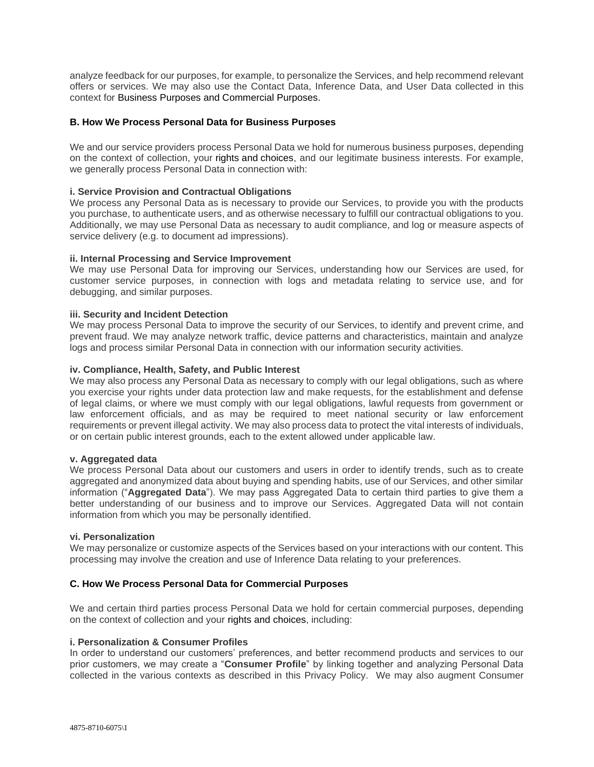analyze feedback for our purposes, for example, to personalize the Services, and help recommend relevant offers or services. We may also use the Contact Data, Inference Data, and User Data collected in this context for Business [Purposes](https://www.broadmoor.com/privacy-policy/#_How_we_Process_1) and [Commercial](https://www.broadmoor.com/privacy-policy/#_How_we_Process_2) Purposes.

## **B. How We Process Personal Data for Business Purposes**

We and our service providers process Personal Data we hold for numerous business purposes, depending on the context of collection, your [rights](https://www.broadmoor.com/privacy-policy/#_Your_Rights) and [choices,](https://www.broadmoor.com/privacy-policy/#_Your_Choices) and our legitimate business interests. For example, we generally process Personal Data in connection with:

### **i. Service Provision and Contractual Obligations**

We process any Personal Data as is necessary to provide our Services, to provide you with the products you purchase, to authenticate users, and as otherwise necessary to fulfill our contractual obligations to you. Additionally, we may use Personal Data as necessary to audit compliance, and log or measure aspects of service delivery (e.g. to document ad impressions).

## **ii. Internal Processing and Service Improvement**

We may use Personal Data for improving our Services, understanding how our Services are used, for customer service purposes, in connection with logs and metadata relating to service use, and for debugging, and similar purposes.

### **iii. Security and Incident Detection**

We may process Personal Data to improve the security of our Services, to identify and prevent crime, and prevent fraud. We may analyze network traffic, device patterns and characteristics, maintain and analyze logs and process similar Personal Data in connection with our information security activities.

### **iv. Compliance, Health, Safety, and Public Interest**

We may also process any Personal Data as necessary to comply with our legal obligations, such as where you exercise your rights under data protection law and make requests, for the establishment and defense of legal claims, or where we must comply with our legal obligations, lawful requests from government or law enforcement officials, and as may be required to meet national security or law enforcement requirements or prevent illegal activity. We may also process data to protect the vital interests of individuals, or on certain public interest grounds, each to the extent allowed under applicable law.

## **v. Aggregated data**

We process Personal Data about our customers and users in order to identify trends, such as to create aggregated and anonymized data about buying and spending habits, use of our Services, and other similar information ("**Aggregated Data**"). We may pass Aggregated Data to certain third parties to give them a better understanding of our business and to improve our Services. Aggregated Data will not contain information from which you may be personally identified.

#### **vi. Personalization**

We may personalize or customize aspects of the Services based on your interactions with our content. This processing may involve the creation and use of Inference Data relating to your preferences.

## **C. How We Process Personal Data for Commercial Purposes**

We and certain third parties process Personal Data we hold for certain commercial purposes, depending on the context of collection and your rights and choices, including:

#### **i. Personalization & Consumer Profiles**

In order to understand our customers' preferences, and better recommend products and services to our prior customers, we may create a "**Consumer Profile**" by linking together and analyzing Personal Data collected in the various contexts as described in this Privacy Policy. We may also augment Consumer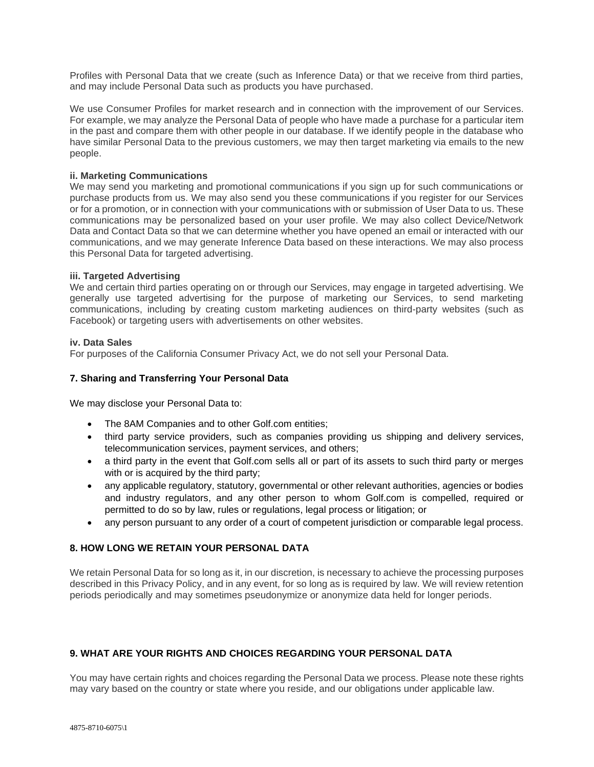Profiles with Personal Data that we create (such as Inference Data) or that we receive from third parties, and may include Personal Data such as products you have purchased.

We use Consumer Profiles for market research and in connection with the improvement of our Services. For example, we may analyze the Personal Data of people who have made a purchase for a particular item in the past and compare them with other people in our database. If we identify people in the database who have similar Personal Data to the previous customers, we may then target marketing via emails to the new people.

## **ii. Marketing Communications**

We may send you marketing and promotional communications if you sign up for such communications or purchase products from us. We may also send you these communications if you register for our Services or for a promotion, or in connection with your communications with or submission of User Data to us. These communications may be personalized based on your user profile. We may also collect Device/Network Data and Contact Data so that we can determine whether you have opened an email or interacted with our communications, and we may generate Inference Data based on these interactions. We may also process this Personal Data for targeted advertising.

#### **iii. Targeted Advertising**

We and certain third parties operating on or through our Services, may engage in targeted advertising. We generally use targeted advertising for the purpose of marketing our Services, to send marketing communications, including by creating custom marketing audiences on third-party websites (such as Facebook) or targeting users with advertisements on other websites.

### **iv. Data Sales**

For purposes of the California Consumer Privacy Act, we do not sell your Personal Data.

## **7. Sharing and Transferring Your Personal Data**

We may disclose your Personal Data to:

- The 8AM Companies and to other Golf.com entities;
- third party service providers, such as companies providing us shipping and delivery services, telecommunication services, payment services, and others;
- a third party in the event that Golf.com sells all or part of its assets to such third party or merges with or is acquired by the third party;
- any applicable regulatory, statutory, governmental or other relevant authorities, agencies or bodies and industry regulators, and any other person to whom Golf.com is compelled, required or permitted to do so by law, rules or regulations, legal process or litigation; or
- any person pursuant to any order of a court of competent jurisdiction or comparable legal process.

## **8. HOW LONG WE RETAIN YOUR PERSONAL DATA**

We retain Personal Data for so long as it, in our discretion, is necessary to achieve the processing purposes described in this Privacy Policy, and in any event, for so long as is required by law. We will review retention periods periodically and may sometimes pseudonymize or anonymize data held for longer periods.

# **9. WHAT ARE YOUR RIGHTS AND CHOICES REGARDING YOUR PERSONAL DATA**

You may have certain rights and choices regarding the Personal Data we process. Please note these rights may vary based on the country or state where you reside, and our obligations under applicable law.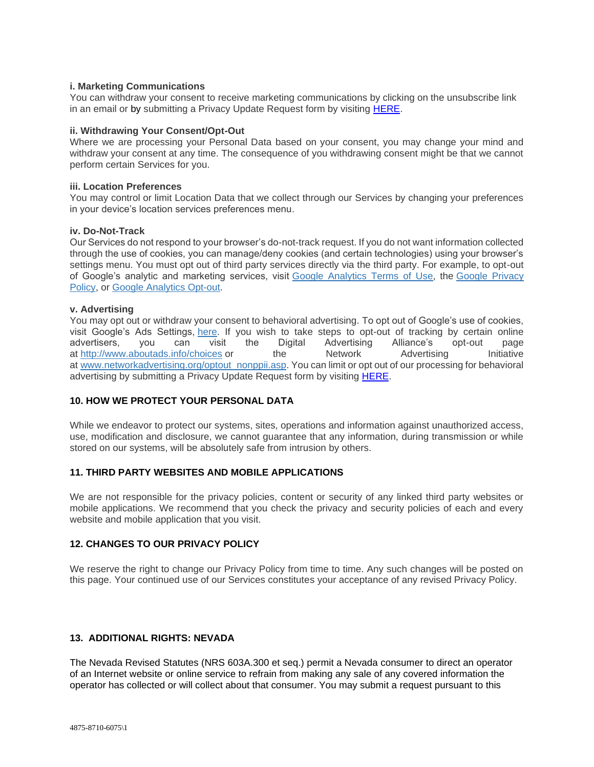## **i. Marketing Communications**

You can withdraw your consent to receive marketing communications by clicking on the unsubscribe link in an email or by submitting a Privacy Update Request form by visiting [HERE.](https://8amgolf-privacy.my.onetrust.com/webform/9f79a1ae-e6e1-4784-b52b-37e1a3fdee64/adc2d0c2-ce23-43aa-9630-0d0edfab4c89)

### **ii. Withdrawing Your Consent/Opt-Out**

Where we are processing your Personal Data based on your consent, you may change your mind and withdraw your consent at any time. The consequence of you withdrawing consent might be that we cannot perform certain Services for you.

#### **iii. Location Preferences**

You may control or limit Location Data that we collect through our Services by changing your preferences in your device's location services preferences menu.

### **iv. Do-Not-Track**

Our Services do not respond to your browser's do-not-track request. If you do not want information collected through the use of cookies, you can manage/deny cookies (and certain technologies) using your browser's settings menu. You must opt out of third party services directly via the third party. For example, to opt-out of Google's analytic and marketing services, visit Google [Analytics](http://www.google.com/analytics/tos.html) Terms of Use, the Google [Privacy](http://www.google.com/privacypolicy.html) [Policy,](http://www.google.com/privacypolicy.html) or Google [Analytics](https://tools.google.com/dlpage/gaoptout?hl=en-GB) Opt-out.

### **v. Advertising**

You may opt out or withdraw your consent to behavioral advertising. To opt out of Google's use of cookies, visit Google's Ads Settings, [here.](https://adssettings.google.com/) If you wish to take steps to opt-out of tracking by certain online advertisers, you can visit the Digital Advertising Alliance's opt-out page at <http://www.aboutads.info/choices> or the Network Advertising Initiative at [www.networkadvertising.org/optout\\_nonppii.asp.](http://www.networkadvertising.org/optout_nonppii.asp) You can limit or opt out of our processing for behavioral advertising by submitting a Privacy Update Request form by visiting [HERE.](https://8amgolf-privacy.my.onetrust.com/webform/9f79a1ae-e6e1-4784-b52b-37e1a3fdee64/adc2d0c2-ce23-43aa-9630-0d0edfab4c89)

# **10. HOW WE PROTECT YOUR PERSONAL DATA**

While we endeavor to protect our systems, sites, operations and information against unauthorized access, use, modification and disclosure, we cannot guarantee that any information, during transmission or while stored on our systems, will be absolutely safe from intrusion by others.

# **11. THIRD PARTY WEBSITES AND MOBILE APPLICATIONS**

We are not responsible for the privacy policies, content or security of any linked third party websites or mobile applications. We recommend that you check the privacy and security policies of each and every website and mobile application that you visit.

## **12. CHANGES TO OUR PRIVACY POLICY**

We reserve the right to change our Privacy Policy from time to time. Any such changes will be posted on this page. Your continued use of our Services constitutes your acceptance of any revised Privacy Policy.

## **13. ADDITIONAL RIGHTS: NEVADA**

The Nevada Revised Statutes (NRS 603A.300 et seq.) permit a Nevada consumer to direct an operator of an Internet website or online service to refrain from making any sale of any covered information the operator has collected or will collect about that consumer. You may submit a request pursuant to this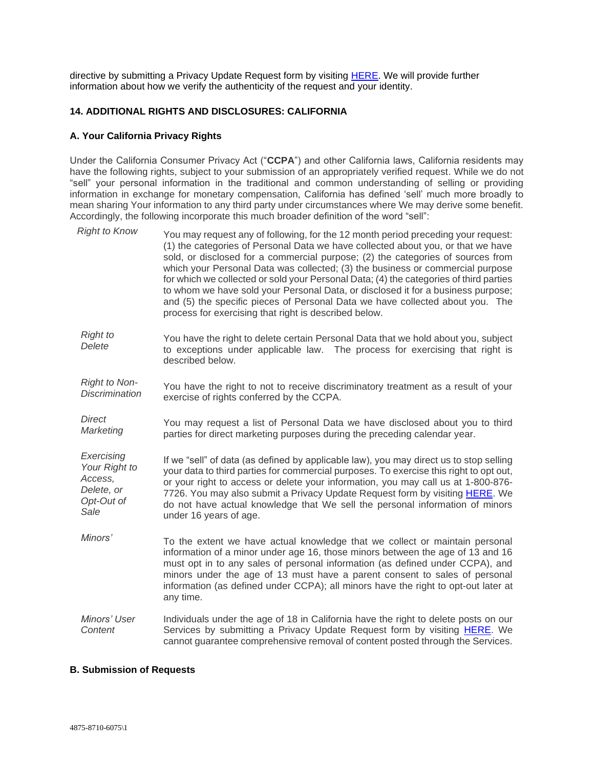directive by submitting a Privacy Update Request form by visiting [HERE.](https://8amgolf-privacy.my.onetrust.com/webform/9f79a1ae-e6e1-4784-b52b-37e1a3fdee64/adc2d0c2-ce23-43aa-9630-0d0edfab4c89) We will provide further information about how we verify the authenticity of the request and your identity.

# **14. ADDITIONAL RIGHTS AND DISCLOSURES: CALIFORNIA**

# **A. Your California Privacy Rights**

Under the California Consumer Privacy Act ("**CCPA**") and other California laws, California residents may have the following rights, subject to your submission of an appropriately verified request. While we do not "sell" your personal information in the traditional and common understanding of selling or providing information in exchange for monetary compensation, California has defined 'sell' much more broadly to mean sharing Your information to any third party under circumstances where We may derive some benefit. Accordingly, the following incorporate this much broader definition of the word "sell":

| <b>Right to Know</b>                                                       | You may request any of following, for the 12 month period preceding your request:<br>(1) the categories of Personal Data we have collected about you, or that we have<br>sold, or disclosed for a commercial purpose; (2) the categories of sources from<br>which your Personal Data was collected; (3) the business or commercial purpose<br>for which we collected or sold your Personal Data; (4) the categories of third parties<br>to whom we have sold your Personal Data, or disclosed it for a business purpose;<br>and (5) the specific pieces of Personal Data we have collected about you. The<br>process for exercising that right is described below. |
|----------------------------------------------------------------------------|--------------------------------------------------------------------------------------------------------------------------------------------------------------------------------------------------------------------------------------------------------------------------------------------------------------------------------------------------------------------------------------------------------------------------------------------------------------------------------------------------------------------------------------------------------------------------------------------------------------------------------------------------------------------|
| <b>Right to</b><br>Delete                                                  | You have the right to delete certain Personal Data that we hold about you, subject<br>to exceptions under applicable law. The process for exercising that right is<br>described below.                                                                                                                                                                                                                                                                                                                                                                                                                                                                             |
| <b>Right to Non-</b><br><b>Discrimination</b>                              | You have the right to not to receive discriminatory treatment as a result of your<br>exercise of rights conferred by the CCPA.                                                                                                                                                                                                                                                                                                                                                                                                                                                                                                                                     |
| Direct<br>Marketing                                                        | You may request a list of Personal Data we have disclosed about you to third<br>parties for direct marketing purposes during the preceding calendar year.                                                                                                                                                                                                                                                                                                                                                                                                                                                                                                          |
| Exercising<br>Your Right to<br>Access,<br>Delete, or<br>Opt-Out of<br>Sale | If we "sell" of data (as defined by applicable law), you may direct us to stop selling<br>your data to third parties for commercial purposes. To exercise this right to opt out,<br>or your right to access or delete your information, you may call us at 1-800-876-<br>7726. You may also submit a Privacy Update Request form by visiting <b>HERE</b> . We<br>do not have actual knowledge that We sell the personal information of minors<br>under 16 years of age.                                                                                                                                                                                            |
| Minors'                                                                    | To the extent we have actual knowledge that we collect or maintain personal<br>information of a minor under age 16, those minors between the age of 13 and 16<br>must opt in to any sales of personal information (as defined under CCPA), and<br>minors under the age of 13 must have a parent consent to sales of personal<br>information (as defined under CCPA); all minors have the right to opt-out later at<br>any time.                                                                                                                                                                                                                                    |
| Minors' User<br>Content                                                    | Individuals under the age of 18 in California have the right to delete posts on our<br>Services by submitting a Privacy Update Request form by visiting HERE. We<br>cannot guarantee comprehensive removal of content posted through the Services.                                                                                                                                                                                                                                                                                                                                                                                                                 |

## **B. Submission of Requests**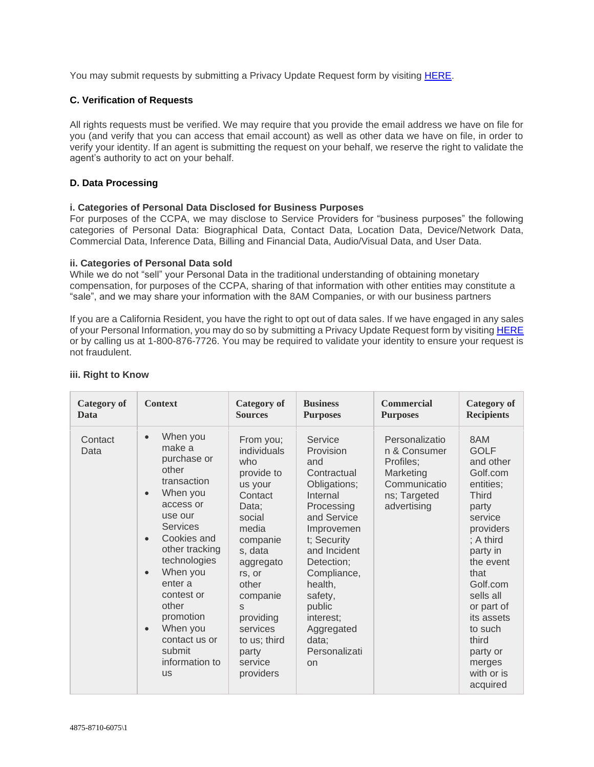You may submit requests by submitting a Privacy Update Request form by visiting [HERE.](https://8amgolf-privacy.my.onetrust.com/webform/9f79a1ae-e6e1-4784-b52b-37e1a3fdee64/adc2d0c2-ce23-43aa-9630-0d0edfab4c89)

# **C. Verification of Requests**

All rights requests must be verified. We may require that you provide the email address we have on file for you (and verify that you can access that email account) as well as other data we have on file, in order to verify your identity. If an agent is submitting the request on your behalf, we reserve the right to validate the agent's authority to act on your behalf.

# **D. Data Processing**

## **i. Categories of Personal Data Disclosed for Business Purposes**

For purposes of the CCPA, we may disclose to Service Providers for "business purposes" the following categories of Personal Data: Biographical Data, Contact Data, Location Data, Device/Network Data, Commercial Data, Inference Data, Billing and Financial Data, Audio/Visual Data, and User Data.

## **ii. Categories of Personal Data sold**

While we do not "sell" your Personal Data in the traditional understanding of obtaining monetary compensation, for purposes of the CCPA, sharing of that information with other entities may constitute a "sale", and we may share your information with the 8AM Companies, or with our business partners

If you are a California Resident, you have the right to opt out of data sales. If we have engaged in any sales of your Personal Information, you may do so by submitting a Privacy Update Request form by visiting [HERE](https://8amgolf-privacy.my.onetrust.com/webform/9f79a1ae-e6e1-4784-b52b-37e1a3fdee64/adc2d0c2-ce23-43aa-9630-0d0edfab4c89) or by calling us at 1-800-876-7726. You may be required to validate your identity to ensure your request is not fraudulent.

| <b>Category of</b> | <b>Context</b>                                                                                                                                                                                                                                                                                                                                         | <b>Category</b> of                                                                                                                                                                                                                                | <b>Business</b>                                                                                                                                                                                                                                                          | <b>Commercial</b>                                                                                       | <b>Category of</b>                                                                                                                                                                                                                                                               |
|--------------------|--------------------------------------------------------------------------------------------------------------------------------------------------------------------------------------------------------------------------------------------------------------------------------------------------------------------------------------------------------|---------------------------------------------------------------------------------------------------------------------------------------------------------------------------------------------------------------------------------------------------|--------------------------------------------------------------------------------------------------------------------------------------------------------------------------------------------------------------------------------------------------------------------------|---------------------------------------------------------------------------------------------------------|----------------------------------------------------------------------------------------------------------------------------------------------------------------------------------------------------------------------------------------------------------------------------------|
| Data               |                                                                                                                                                                                                                                                                                                                                                        | <b>Sources</b>                                                                                                                                                                                                                                    | <b>Purposes</b>                                                                                                                                                                                                                                                          | <b>Purposes</b>                                                                                         | <b>Recipients</b>                                                                                                                                                                                                                                                                |
| Contact<br>Data    | When you<br>$\bullet$<br>make a<br>purchase or<br>other<br>transaction<br>When you<br>$\bullet$<br>access or<br>use our<br><b>Services</b><br>Cookies and<br>other tracking<br>technologies<br>When you<br>$\bullet$<br>enter a<br>contest or<br>other<br>promotion<br>When you<br>$\bullet$<br>contact us or<br>submit<br>information to<br><b>US</b> | From you;<br>individuals<br>who<br>provide to<br>us your<br>Contact<br>Data;<br>social<br>media<br>companie<br>s, data<br>aggregato<br>rs, or<br>other<br>companie<br>S<br>providing<br>services<br>to us; third<br>party<br>service<br>providers | Service<br>Provision<br>and<br>Contractual<br>Obligations;<br>Internal<br>Processing<br>and Service<br>Improvemen<br>t; Security<br>and Incident<br>Detection;<br>Compliance,<br>health,<br>safety,<br>public<br>interest;<br>Aggregated<br>data;<br>Personalizati<br>on | Personalizatio<br>n & Consumer<br>Profiles;<br>Marketing<br>Communicatio<br>ns; Targeted<br>advertising | 8AM<br><b>GOLF</b><br>and other<br>Golf.com<br>entities;<br><b>Third</b><br>party<br>service<br>providers<br>; A third<br>party in<br>the event<br>that<br>Golf.com<br>sells all<br>or part of<br>its assets<br>to such<br>third<br>party or<br>merges<br>with or is<br>acquired |

# **iii. Right to Know**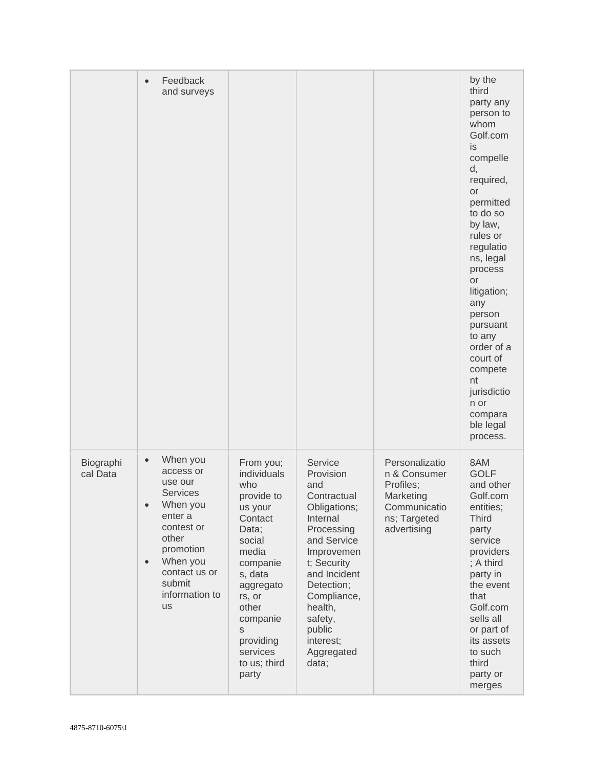|                       | Feedback<br>$\bullet$<br>and surveys                                                                                                                                                                                        |                                                                                                                                                                                                                                     |                                                                                                                                                                                                                                                   |                                                                                                         | by the<br>third<br>party any<br>person to<br>whom<br>Golf.com<br>is<br>compelle<br>d,<br>required,<br>or<br>permitted<br>to do so<br>by law,<br>rules or<br>regulatio<br>ns, legal<br>process<br><b>or</b><br>litigation;<br>any<br>person<br>pursuant<br>to any<br>order of a<br>court of<br>compete<br>nt<br>jurisdictio<br>n or<br>compara<br>ble legal<br>process. |
|-----------------------|-----------------------------------------------------------------------------------------------------------------------------------------------------------------------------------------------------------------------------|-------------------------------------------------------------------------------------------------------------------------------------------------------------------------------------------------------------------------------------|---------------------------------------------------------------------------------------------------------------------------------------------------------------------------------------------------------------------------------------------------|---------------------------------------------------------------------------------------------------------|------------------------------------------------------------------------------------------------------------------------------------------------------------------------------------------------------------------------------------------------------------------------------------------------------------------------------------------------------------------------|
| Biographi<br>cal Data | When you<br>$\bullet$<br>access or<br>use our<br><b>Services</b><br>When you<br>$\bullet$<br>enter a<br>contest or<br>other<br>promotion<br>When you<br>$\bullet$<br>contact us or<br>submit<br>information to<br><b>us</b> | From you;<br>individuals<br>who<br>provide to<br>us your<br>Contact<br>Data;<br>social<br>media<br>companie<br>s, data<br>aggregato<br>rs, or<br>other<br>companie<br>$\mathsf S$<br>providing<br>services<br>to us; third<br>party | Service<br>Provision<br>and<br>Contractual<br>Obligations;<br>Internal<br>Processing<br>and Service<br>Improvemen<br>t; Security<br>and Incident<br>Detection;<br>Compliance,<br>health,<br>safety,<br>public<br>interest;<br>Aggregated<br>data; | Personalizatio<br>n & Consumer<br>Profiles;<br>Marketing<br>Communicatio<br>ns; Targeted<br>advertising | 8AM<br><b>GOLF</b><br>and other<br>Golf.com<br>entities;<br><b>Third</b><br>party<br>service<br>providers<br>; A third<br>party in<br>the event<br>that<br>Golf.com<br>sells all<br>or part of<br>its assets<br>to such<br>third<br>party or<br>merges                                                                                                                 |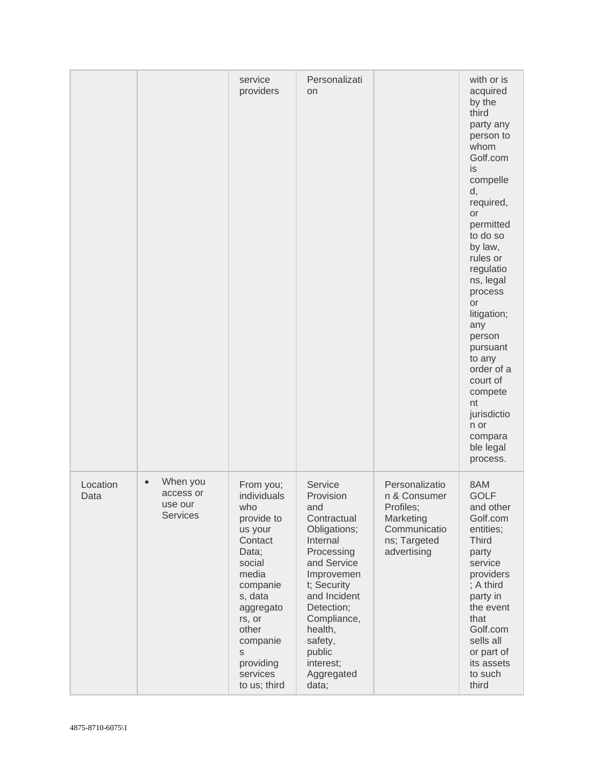|                  |                                                                  | service<br>providers                                                                                                                                                                                                       | Personalizati<br>on                                                                                                                                                                                                                               |                                                                                                         | with or is<br>acquired<br>by the<br>third<br>party any<br>person to<br>whom<br>Golf.com<br>is<br>compelle<br>d,<br>required,<br><b>or</b><br>permitted<br>to do so<br>by law,<br>rules or<br>regulatio<br>ns, legal<br>process<br><b>or</b><br>litigation;<br>any<br>person<br>pursuant<br>to any<br>order of a<br>court of<br>compete<br>nt<br>jurisdictio<br>n or<br>compara<br>ble legal<br>process. |
|------------------|------------------------------------------------------------------|----------------------------------------------------------------------------------------------------------------------------------------------------------------------------------------------------------------------------|---------------------------------------------------------------------------------------------------------------------------------------------------------------------------------------------------------------------------------------------------|---------------------------------------------------------------------------------------------------------|---------------------------------------------------------------------------------------------------------------------------------------------------------------------------------------------------------------------------------------------------------------------------------------------------------------------------------------------------------------------------------------------------------|
| Location<br>Data | When you<br>$\bullet$<br>access or<br>use our<br><b>Services</b> | From you;<br>individuals<br>who<br>provide to<br>us your<br>Contact<br>Data;<br>social<br>media<br>companie<br>s, data<br>aggregato<br>rs, or<br>other<br>companie<br>$\mathsf S$<br>providing<br>services<br>to us; third | Service<br>Provision<br>and<br>Contractual<br>Obligations;<br>Internal<br>Processing<br>and Service<br>Improvemen<br>t; Security<br>and Incident<br>Detection;<br>Compliance,<br>health,<br>safety,<br>public<br>interest;<br>Aggregated<br>data; | Personalizatio<br>n & Consumer<br>Profiles;<br>Marketing<br>Communicatio<br>ns; Targeted<br>advertising | 8AM<br><b>GOLF</b><br>and other<br>Golf.com<br>entities;<br><b>Third</b><br>party<br>service<br>providers<br>; A third<br>party in<br>the event<br>that<br>Golf.com<br>sells all<br>or part of<br>its assets<br>to such<br>third                                                                                                                                                                        |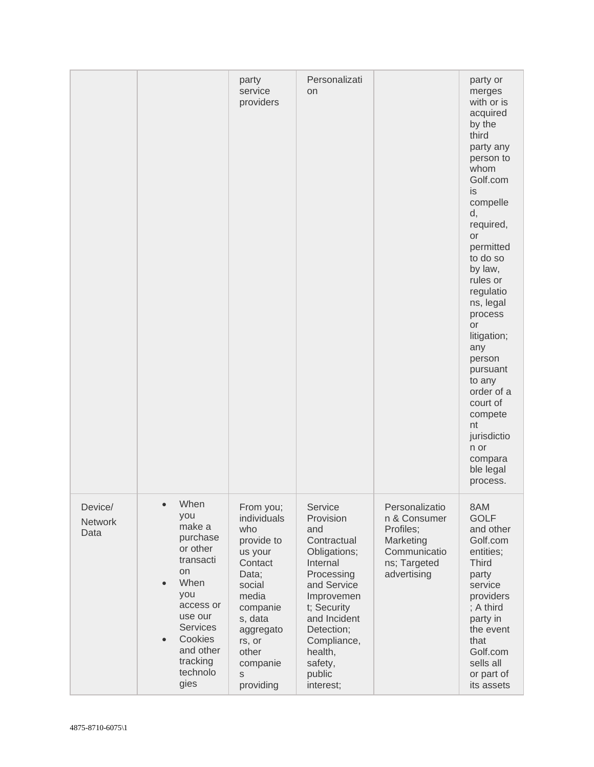|                                   |                                                                                                                                                                                                              | party<br>service<br>providers                                                                                                                                                        | Personalizati<br><b>on</b>                                                                                                                                                                                                 |                                                                                                         | party or<br>merges<br>with or is<br>acquired<br>by the<br>third<br>party any<br>person to<br>whom<br>Golf.com<br>is.<br>compelle<br>d,<br>required,<br>or<br>permitted<br>to do so<br>by law,<br>rules or<br>regulatio<br>ns, legal<br>process<br>or<br>litigation;<br>any<br>person<br>pursuant<br>to any<br>order of a<br>court of<br>compete<br>nt<br>jurisdictio<br>n or<br>compara<br>ble legal<br>process. |
|-----------------------------------|--------------------------------------------------------------------------------------------------------------------------------------------------------------------------------------------------------------|--------------------------------------------------------------------------------------------------------------------------------------------------------------------------------------|----------------------------------------------------------------------------------------------------------------------------------------------------------------------------------------------------------------------------|---------------------------------------------------------------------------------------------------------|------------------------------------------------------------------------------------------------------------------------------------------------------------------------------------------------------------------------------------------------------------------------------------------------------------------------------------------------------------------------------------------------------------------|
| Device/<br><b>Network</b><br>Data | When<br>you<br>make a<br>purchase<br>or other<br>transacti<br>on<br>When<br>$\bullet$<br>you<br>access or<br>use our<br><b>Services</b><br>Cookies<br>$\bullet$<br>and other<br>tracking<br>technolo<br>gies | From you;<br>individuals<br>who<br>provide to<br>us your<br>Contact<br>Data;<br>social<br>media<br>companie<br>s, data<br>aggregato<br>rs, or<br>other<br>companie<br>S<br>providing | Service<br>Provision<br>and<br>Contractual<br>Obligations;<br>Internal<br>Processing<br>and Service<br>Improvemen<br>t; Security<br>and Incident<br>Detection;<br>Compliance,<br>health,<br>safety,<br>public<br>interest; | Personalizatio<br>n & Consumer<br>Profiles;<br>Marketing<br>Communicatio<br>ns; Targeted<br>advertising | 8AM<br><b>GOLF</b><br>and other<br>Golf.com<br>entities;<br><b>Third</b><br>party<br>service<br>providers<br>; A third<br>party in<br>the event<br>that<br>Golf.com<br>sells all<br>or part of<br>its assets                                                                                                                                                                                                     |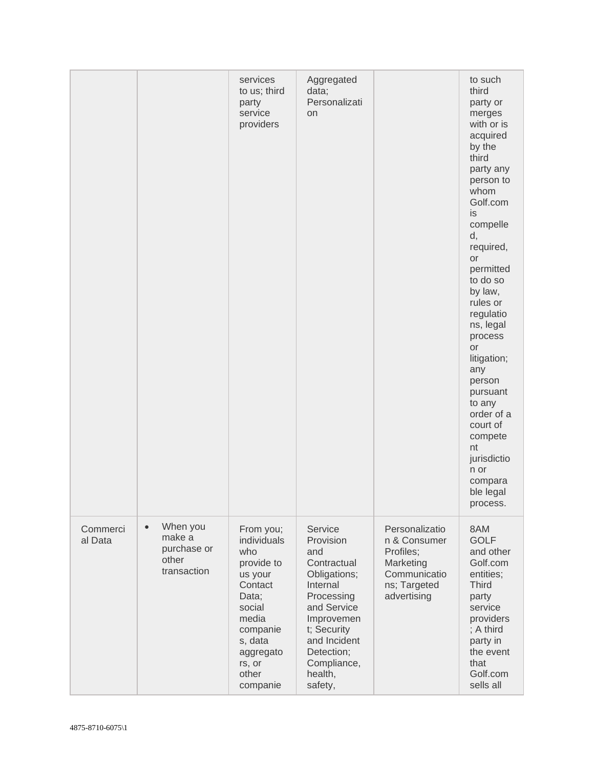|                     |                                                                        | services<br>to us; third<br>party<br>service<br>providers                                                                                                          | Aggregated<br>data;<br>Personalizati<br>on                                                                                                                                                          |                                                                                                         | to such<br>third<br>party or<br>merges<br>with or is<br>acquired<br>by the<br>third<br>party any<br>person to<br>whom<br>Golf.com<br>is<br>compelle<br>d,<br>required,<br>or<br>permitted<br>to do so<br>by law,<br>rules or<br>regulatio<br>ns, legal<br>process<br>or<br>litigation;<br>any<br>person<br>pursuant<br>to any<br>order of a<br>court of<br>compete<br>nt<br>jurisdictio<br>n or<br>compara<br>ble legal<br>process. |
|---------------------|------------------------------------------------------------------------|--------------------------------------------------------------------------------------------------------------------------------------------------------------------|-----------------------------------------------------------------------------------------------------------------------------------------------------------------------------------------------------|---------------------------------------------------------------------------------------------------------|-------------------------------------------------------------------------------------------------------------------------------------------------------------------------------------------------------------------------------------------------------------------------------------------------------------------------------------------------------------------------------------------------------------------------------------|
| Commerci<br>al Data | When you<br>$\bullet$<br>make a<br>purchase or<br>other<br>transaction | From you;<br>individuals<br>who<br>provide to<br>us your<br>Contact<br>Data;<br>social<br>media<br>companie<br>s, data<br>aggregato<br>rs, or<br>other<br>companie | Service<br>Provision<br>and<br>Contractual<br>Obligations;<br>Internal<br>Processing<br>and Service<br>Improvemen<br>t; Security<br>and Incident<br>Detection;<br>Compliance,<br>health,<br>safety, | Personalizatio<br>n & Consumer<br>Profiles;<br>Marketing<br>Communicatio<br>ns; Targeted<br>advertising | 8AM<br><b>GOLF</b><br>and other<br>Golf.com<br>entities;<br><b>Third</b><br>party<br>service<br>providers<br>; A third<br>party in<br>the event<br>that<br>Golf.com<br>sells all                                                                                                                                                                                                                                                    |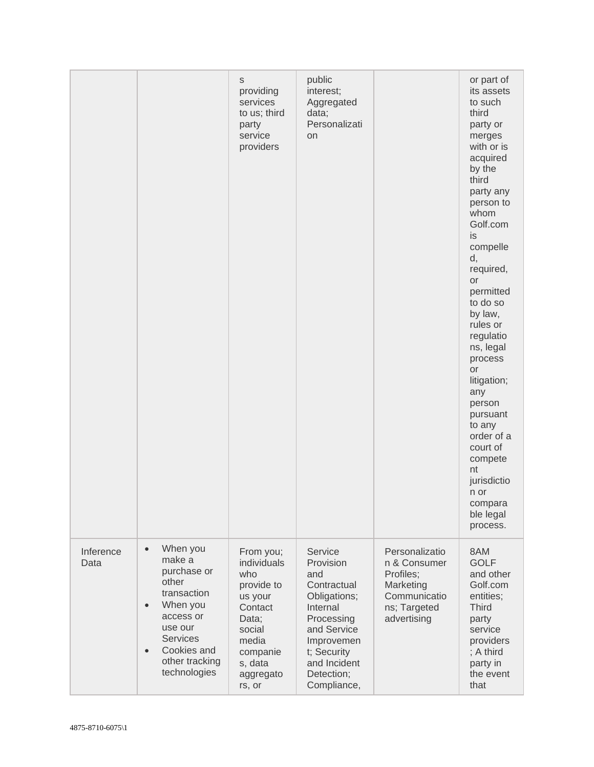|                   |                                                                                                                                                                                                          | $\mathbb S$<br>providing<br>services<br>to us; third<br>party<br>service<br>providers                                                         | public<br>interest;<br>Aggregated<br>data;<br>Personalizati<br>on                                                                                                             |                                                                                                         | or part of<br>its assets<br>to such<br>third<br>party or<br>merges<br>with or is<br>acquired<br>by the<br>third<br>party any<br>person to<br>whom<br>Golf.com<br>is<br>compelle<br>d,<br>required,<br><b>or</b><br>permitted<br>to do so<br>by law,<br>rules or<br>regulatio<br>ns, legal<br>process<br>or<br>litigation;<br>any<br>person<br>pursuant<br>to any<br>order of a<br>court of<br>compete<br>nt |
|-------------------|----------------------------------------------------------------------------------------------------------------------------------------------------------------------------------------------------------|-----------------------------------------------------------------------------------------------------------------------------------------------|-------------------------------------------------------------------------------------------------------------------------------------------------------------------------------|---------------------------------------------------------------------------------------------------------|-------------------------------------------------------------------------------------------------------------------------------------------------------------------------------------------------------------------------------------------------------------------------------------------------------------------------------------------------------------------------------------------------------------|
|                   |                                                                                                                                                                                                          |                                                                                                                                               |                                                                                                                                                                               |                                                                                                         | jurisdictio<br>n or<br>compara<br>ble legal<br>process.                                                                                                                                                                                                                                                                                                                                                     |
| Inference<br>Data | When you<br>$\bullet$<br>make a<br>purchase or<br>other<br>transaction<br>When you<br>$\bullet$<br>access or<br>use our<br><b>Services</b><br>Cookies and<br>$\bullet$<br>other tracking<br>technologies | From you;<br>individuals<br>who<br>provide to<br>us your<br>Contact<br>Data;<br>social<br>media<br>companie<br>s, data<br>aggregato<br>rs, or | Service<br>Provision<br>and<br>Contractual<br>Obligations;<br>Internal<br>Processing<br>and Service<br>Improvemen<br>t; Security<br>and Incident<br>Detection;<br>Compliance, | Personalizatio<br>n & Consumer<br>Profiles;<br>Marketing<br>Communicatio<br>ns; Targeted<br>advertising | 8AM<br><b>GOLF</b><br>and other<br>Golf.com<br>entities;<br><b>Third</b><br>party<br>service<br>providers<br>; A third<br>party in<br>the event<br>that                                                                                                                                                                                                                                                     |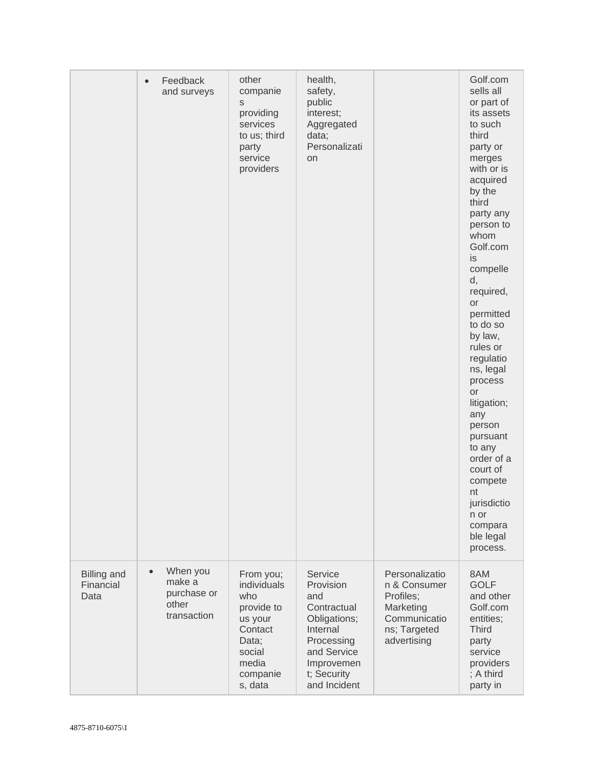|                                         | Feedback<br>$\bullet$<br>and surveys                                   | other<br>companie<br>S<br>providing<br>services<br>to us; third<br>party<br>service<br>providers                       | health,<br>safety,<br>public<br>interest;<br>Aggregated<br>data;<br>Personalizati<br><b>on</b>                                                   |                                                                                                         | Golf.com<br>sells all<br>or part of<br>its assets<br>to such<br>third<br>party or<br>merges<br>with or is<br>acquired<br>by the<br>third<br>party any<br>person to<br>whom<br>Golf.com<br>is<br>compelle<br>d,<br>required,<br>or<br>permitted<br>to do so<br>by law,<br>rules or<br>regulatio<br>ns, legal<br>process<br>or<br>litigation;<br>any<br>person<br>pursuant<br>to any<br>order of a<br>court of<br>compete<br>nt<br>jurisdictio<br>n or<br>compara<br>ble legal<br>process. |
|-----------------------------------------|------------------------------------------------------------------------|------------------------------------------------------------------------------------------------------------------------|--------------------------------------------------------------------------------------------------------------------------------------------------|---------------------------------------------------------------------------------------------------------|------------------------------------------------------------------------------------------------------------------------------------------------------------------------------------------------------------------------------------------------------------------------------------------------------------------------------------------------------------------------------------------------------------------------------------------------------------------------------------------|
| <b>Billing and</b><br>Financial<br>Data | When you<br>$\bullet$<br>make a<br>purchase or<br>other<br>transaction | From you;<br>individuals<br>who<br>provide to<br>us your<br>Contact<br>Data;<br>social<br>media<br>companie<br>s, data | Service<br>Provision<br>and<br>Contractual<br>Obligations;<br>Internal<br>Processing<br>and Service<br>Improvemen<br>t; Security<br>and Incident | Personalizatio<br>n & Consumer<br>Profiles;<br>Marketing<br>Communicatio<br>ns; Targeted<br>advertising | 8AM<br><b>GOLF</b><br>and other<br>Golf.com<br>entities;<br><b>Third</b><br>party<br>service<br>providers<br>; A third<br>party in                                                                                                                                                                                                                                                                                                                                                       |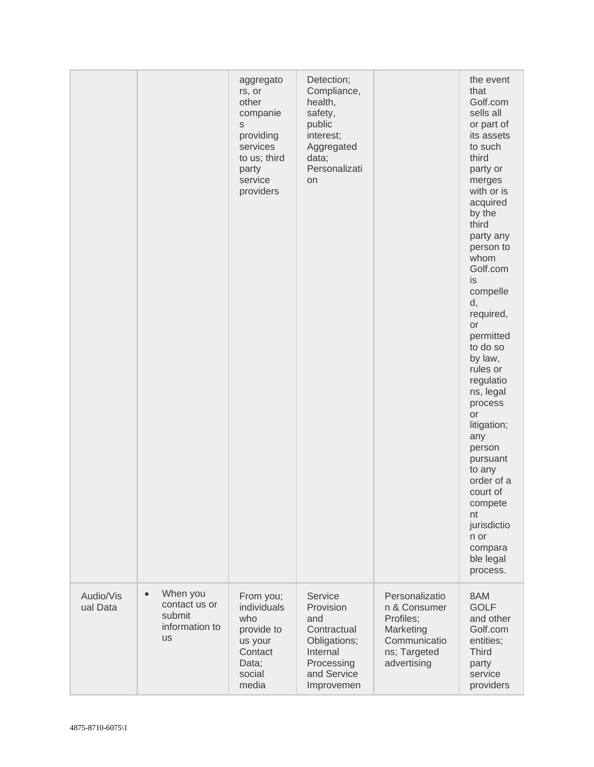|                       |                                                                                 | aggregato<br>rs, or<br>other<br>companie<br>S<br>providing<br>services<br>to us; third<br>party<br>service<br>providers | Detection;<br>Compliance,<br>health,<br>safety,<br>public<br>interest;<br>Aggregated<br>data;<br>Personalizati<br>on |                                                                                                         | the event<br>that<br>Golf.com<br>sells all<br>or part of<br>its assets<br>to such<br>third<br>party or<br>merges<br>with or is<br>acquired<br>by the<br>third<br>party any<br>person to<br>whom<br>Golf.com<br>is<br>compelle<br>d,<br>required,<br>or<br>permitted<br>to do so<br>by law,<br>rules or<br>regulatio<br>ns, legal<br>process<br>or<br>litigation;<br>any<br>person<br>pursuant<br>to any<br>order of a<br>court of<br>compete<br>nt<br>jurisdictio<br>n or<br>compara<br>ble legal<br>process. |
|-----------------------|---------------------------------------------------------------------------------|-------------------------------------------------------------------------------------------------------------------------|----------------------------------------------------------------------------------------------------------------------|---------------------------------------------------------------------------------------------------------|---------------------------------------------------------------------------------------------------------------------------------------------------------------------------------------------------------------------------------------------------------------------------------------------------------------------------------------------------------------------------------------------------------------------------------------------------------------------------------------------------------------|
| Audio/Vis<br>ual Data | When you<br>$\bullet$<br>contact us or<br>submit<br>information to<br><b>us</b> | From you;<br>individuals<br>who<br>provide to<br>us your<br>Contact<br>Data;<br>social<br>media                         | Service<br>Provision<br>and<br>Contractual<br>Obligations;<br>Internal<br>Processing<br>and Service<br>Improvemen    | Personalizatio<br>n & Consumer<br>Profiles;<br>Marketing<br>Communicatio<br>ns; Targeted<br>advertising | 8AM<br><b>GOLF</b><br>and other<br>Golf.com<br>entities;<br><b>Third</b><br>party<br>service<br>providers                                                                                                                                                                                                                                                                                                                                                                                                     |